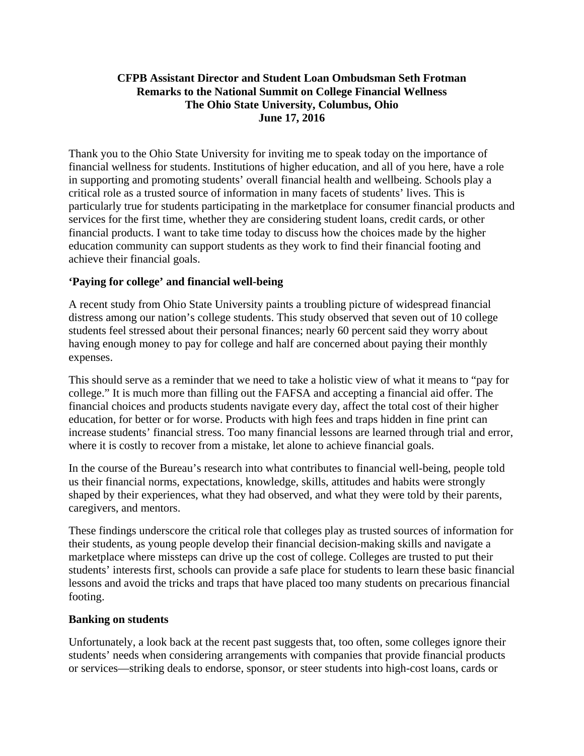# **CFPB Assistant Director and Student Loan Ombudsman Seth Frotman Remarks to the National Summit on College Financial Wellness The Ohio State University, Columbus, Ohio June 17, 2016**

Thank you to the Ohio State University for inviting me to speak today on the importance of financial wellness for students. Institutions of higher education, and all of you here, have a role in supporting and promoting students' overall financial health and wellbeing. Schools play a critical role as a trusted source of information in many facets of students' lives. This is particularly true for students participating in the marketplace for consumer financial products and services for the first time, whether they are considering student loans, credit cards, or other financial products. I want to take time today to discuss how the choices made by the higher education community can support students as they work to find their financial footing and achieve their financial goals.

# **'Paying for college' and financial well-being**

A recent study from Ohio State University paints a troubling picture of widespread financial distress among our nation's college students. This study observed that seven out of 10 college students feel stressed about their personal finances; nearly 60 percent said they worry about having enough money to pay for college and half are concerned about paying their monthly expenses.

This should serve as a reminder that we need to take a holistic view of what it means to "pay for college." It is much more than filling out the FAFSA and accepting a financial aid offer. The financial choices and products students navigate every day, affect the total cost of their higher education, for better or for worse. Products with high fees and traps hidden in fine print can increase students' financial stress. Too many financial lessons are learned through trial and error, where it is costly to recover from a mistake, let alone to achieve financial goals.

In the course of the Bureau's research into what contributes to financial well-being, people told us their financial norms, expectations, knowledge, skills, attitudes and habits were strongly shaped by their experiences, what they had observed, and what they were told by their parents, caregivers, and mentors.

These findings underscore the critical role that colleges play as trusted sources of information for their students, as young people develop their financial decision-making skills and navigate a marketplace where missteps can drive up the cost of college. Colleges are trusted to put their students' interests first, schools can provide a safe place for students to learn these basic financial lessons and avoid the tricks and traps that have placed too many students on precarious financial footing.

### **Banking on students**

Unfortunately, a look back at the recent past suggests that, too often, some colleges ignore their students' needs when considering arrangements with companies that provide financial products or services—striking deals to endorse, sponsor, or steer students into high-cost loans, cards or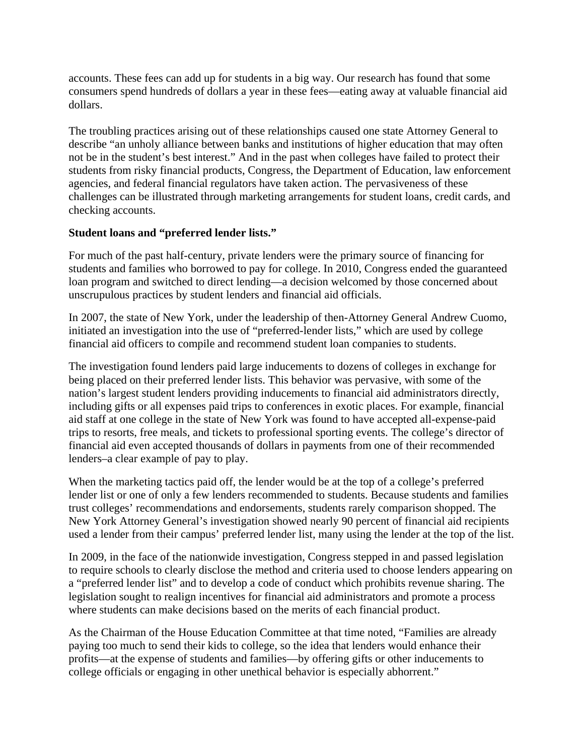accounts. These fees can add up for students in a big way. Our research has found that some consumers spend hundreds of dollars a year in these fees—eating away at valuable financial aid dollars.

The troubling practices arising out of these relationships caused one state Attorney General to describe "an unholy alliance between banks and institutions of higher education that may often not be in the student's best interest." And in the past when colleges have failed to protect their students from risky financial products, Congress, the Department of Education, law enforcement agencies, and federal financial regulators have taken action. The pervasiveness of these challenges can be illustrated through marketing arrangements for student loans, credit cards, and checking accounts.

### **Student loans and "preferred lender lists."**

For much of the past half-century, private lenders were the primary source of financing for students and families who borrowed to pay for college. In 2010, Congress ended the guaranteed loan program and switched to direct lending—a decision welcomed by those concerned about unscrupulous practices by student lenders and financial aid officials.

In 2007, the state of New York, under the leadership of then-Attorney General Andrew Cuomo, initiated an investigation into the use of "preferred-lender lists," which are used by college financial aid officers to compile and recommend student loan companies to students.

The investigation found lenders paid large inducements to dozens of colleges in exchange for being placed on their preferred lender lists. This behavior was pervasive, with some of the nation's largest student lenders providing inducements to financial aid administrators directly, including gifts or all expenses paid trips to conferences in exotic places. For example, financial aid staff at one college in the state of New York was found to have accepted all-expense-paid trips to resorts, free meals, and tickets to professional sporting events. The college's director of financial aid even accepted thousands of dollars in payments from one of their recommended lenders–a clear example of pay to play.

When the marketing tactics paid off, the lender would be at the top of a college's preferred lender list or one of only a few lenders recommended to students. Because students and families trust colleges' recommendations and endorsements, students rarely comparison shopped. The New York Attorney General's investigation showed nearly 90 percent of financial aid recipients used a lender from their campus' preferred lender list, many using the lender at the top of the list.

In 2009, in the face of the nationwide investigation, Congress stepped in and passed legislation to require schools to clearly disclose the method and criteria used to choose lenders appearing on a "preferred lender list" and to develop a code of conduct which prohibits revenue sharing. The legislation sought to realign incentives for financial aid administrators and promote a process where students can make decisions based on the merits of each financial product.

As the Chairman of the House Education Committee at that time noted, "Families are already paying too much to send their kids to college, so the idea that lenders would enhance their profits—at the expense of students and families—by offering gifts or other inducements to college officials or engaging in other unethical behavior is especially abhorrent."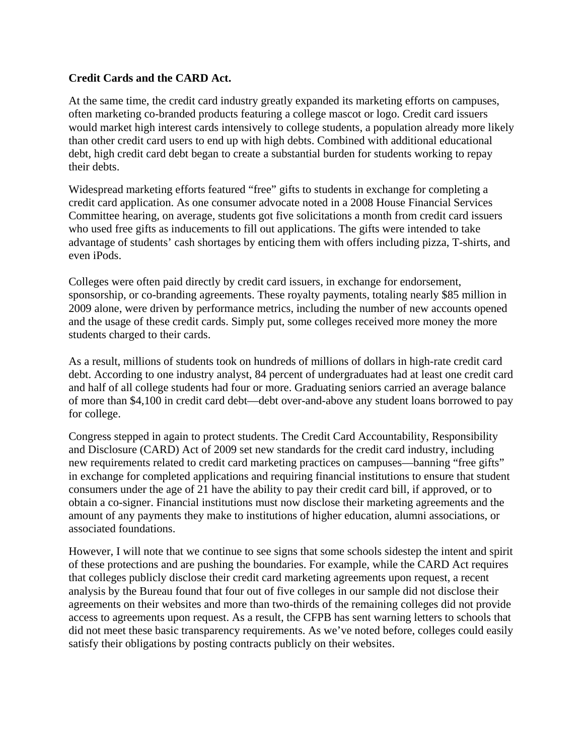# **Credit Cards and the CARD Act.**

At the same time, the credit card industry greatly expanded its marketing efforts on campuses, often marketing co-branded products featuring a college mascot or logo. Credit card issuers would market high interest cards intensively to college students, a population already more likely than other credit card users to end up with high debts. Combined with additional educational debt, high credit card debt began to create a substantial burden for students working to repay their debts.

Widespread marketing efforts featured "free" gifts to students in exchange for completing a credit card application. As one consumer advocate noted in a 2008 House Financial Services Committee hearing, on average, students got five solicitations a month from credit card issuers who used free gifts as inducements to fill out applications. The gifts were intended to take advantage of students' cash shortages by enticing them with offers including pizza, T-shirts, and even iPods.

Colleges were often paid directly by credit card issuers, in exchange for endorsement, sponsorship, or co-branding agreements. These royalty payments, totaling nearly \$85 million in 2009 alone, were driven by performance metrics, including the number of new accounts opened and the usage of these credit cards. Simply put, some colleges received more money the more students charged to their cards.

As a result, millions of students took on hundreds of millions of dollars in high-rate credit card debt. According to one industry analyst, 84 percent of undergraduates had at least one credit card and half of all college students had four or more. Graduating seniors carried an average balance of more than \$4,100 in credit card debt—debt over-and-above any student loans borrowed to pay for college.

Congress stepped in again to protect students. The Credit Card Accountability, Responsibility and Disclosure (CARD) Act of 2009 set new standards for the credit card industry, including new requirements related to credit card marketing practices on campuses—banning "free gifts" in exchange for completed applications and requiring financial institutions to ensure that student consumers under the age of 21 have the ability to pay their credit card bill, if approved, or to obtain a co-signer. Financial institutions must now disclose their marketing agreements and the amount of any payments they make to institutions of higher education, alumni associations, or associated foundations.

However, I will note that we continue to see signs that some schools sidestep the intent and spirit of these protections and are pushing the boundaries. For example, while the CARD Act requires that colleges publicly disclose their credit card marketing agreements upon request, a recent analysis by the Bureau found that four out of five colleges in our sample did not disclose their agreements on their websites and more than two-thirds of the remaining colleges did not provide access to agreements upon request. As a result, the CFPB has sent warning letters to schools that did not meet these basic transparency requirements. As we've noted before, colleges could easily satisfy their obligations by posting contracts publicly on their websites.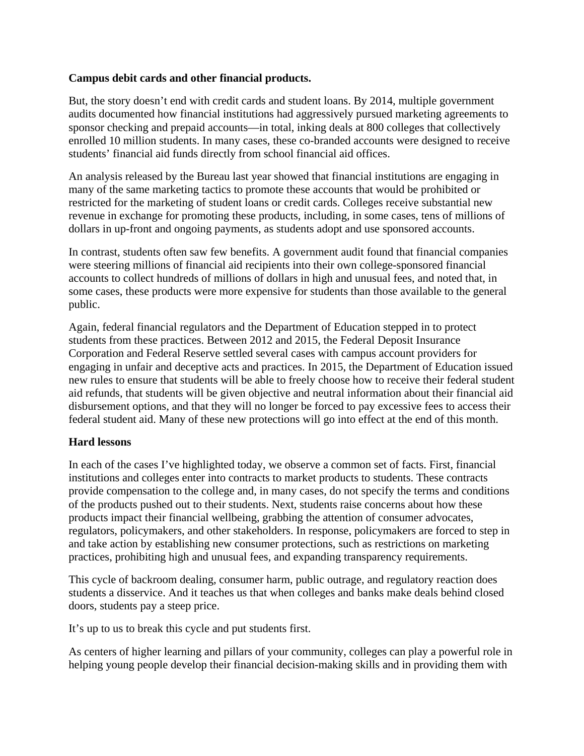# **Campus debit cards and other financial products.**

But, the story doesn't end with credit cards and student loans. By 2014, multiple government audits documented how financial institutions had aggressively pursued marketing agreements to sponsor checking and prepaid accounts—in total, inking deals at 800 colleges that collectively enrolled 10 million students. In many cases, these co-branded accounts were designed to receive students' financial aid funds directly from school financial aid offices.

An analysis released by the Bureau last year showed that financial institutions are engaging in many of the same marketing tactics to promote these accounts that would be prohibited or restricted for the marketing of student loans or credit cards. Colleges receive substantial new revenue in exchange for promoting these products, including, in some cases, tens of millions of dollars in up-front and ongoing payments, as students adopt and use sponsored accounts.

In contrast, students often saw few benefits. A government audit found that financial companies were steering millions of financial aid recipients into their own college-sponsored financial accounts to collect hundreds of millions of dollars in high and unusual fees, and noted that, in some cases, these products were more expensive for students than those available to the general public.

Again, federal financial regulators and the Department of Education stepped in to protect students from these practices. Between 2012 and 2015, the Federal Deposit Insurance Corporation and Federal Reserve settled several cases with campus account providers for engaging in unfair and deceptive acts and practices. In 2015, the Department of Education issued new rules to ensure that students will be able to freely choose how to receive their federal student aid refunds, that students will be given objective and neutral information about their financial aid disbursement options, and that they will no longer be forced to pay excessive fees to access their federal student aid. Many of these new protections will go into effect at the end of this month.

### **Hard lessons**

In each of the cases I've highlighted today, we observe a common set of facts. First, financial institutions and colleges enter into contracts to market products to students. These contracts provide compensation to the college and, in many cases, do not specify the terms and conditions of the products pushed out to their students. Next, students raise concerns about how these products impact their financial wellbeing, grabbing the attention of consumer advocates, regulators, policymakers, and other stakeholders. In response, policymakers are forced to step in and take action by establishing new consumer protections, such as restrictions on marketing practices, prohibiting high and unusual fees, and expanding transparency requirements.

This cycle of backroom dealing, consumer harm, public outrage, and regulatory reaction does students a disservice. And it teaches us that when colleges and banks make deals behind closed doors, students pay a steep price.

It's up to us to break this cycle and put students first.

As centers of higher learning and pillars of your community, colleges can play a powerful role in helping young people develop their financial decision-making skills and in providing them with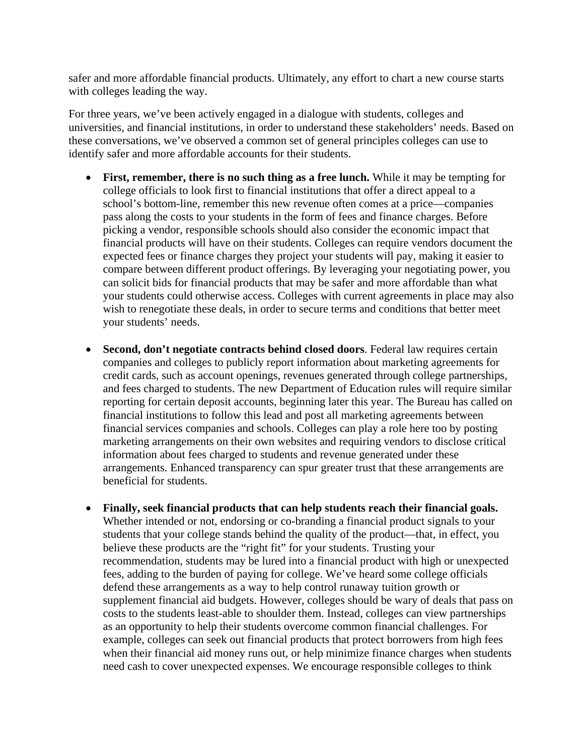safer and more affordable financial products. Ultimately, any effort to chart a new course starts with colleges leading the way.

For three years, we've been actively engaged in a dialogue with students, colleges and universities, and financial institutions, in order to understand these stakeholders' needs. Based on these conversations, we've observed a common set of general principles colleges can use to identify safer and more affordable accounts for their students.

- **First, remember, there is no such thing as a free lunch.** While it may be tempting for college officials to look first to financial institutions that offer a direct appeal to a school's bottom-line, remember this new revenue often comes at a price—companies pass along the costs to your students in the form of fees and finance charges. Before picking a vendor, responsible schools should also consider the economic impact that financial products will have on their students. Colleges can require vendors document the expected fees or finance charges they project your students will pay, making it easier to compare between different product offerings. By leveraging your negotiating power, you can solicit bids for financial products that may be safer and more affordable than what your students could otherwise access. Colleges with current agreements in place may also wish to renegotiate these deals, in order to secure terms and conditions that better meet your students' needs.
- **Second, don't negotiate contracts behind closed doors**. Federal law requires certain companies and colleges to publicly report information about marketing agreements for credit cards, such as account openings, revenues generated through college partnerships, and fees charged to students. The new Department of Education rules will require similar reporting for certain deposit accounts, beginning later this year. The Bureau has called on financial institutions to follow this lead and post all marketing agreements between financial services companies and schools. Colleges can play a role here too by posting marketing arrangements on their own websites and requiring vendors to disclose critical information about fees charged to students and revenue generated under these arrangements. Enhanced transparency can spur greater trust that these arrangements are beneficial for students.
- **Finally, seek financial products that can help students reach their financial goals.**  Whether intended or not, endorsing or co-branding a financial product signals to your students that your college stands behind the quality of the product—that, in effect, you believe these products are the "right fit" for your students. Trusting your recommendation, students may be lured into a financial product with high or unexpected fees, adding to the burden of paying for college. We've heard some college officials defend these arrangements as a way to help control runaway tuition growth or supplement financial aid budgets. However, colleges should be wary of deals that pass on costs to the students least-able to shoulder them. Instead, colleges can view partnerships as an opportunity to help their students overcome common financial challenges. For example, colleges can seek out financial products that protect borrowers from high fees when their financial aid money runs out, or help minimize finance charges when students need cash to cover unexpected expenses. We encourage responsible colleges to think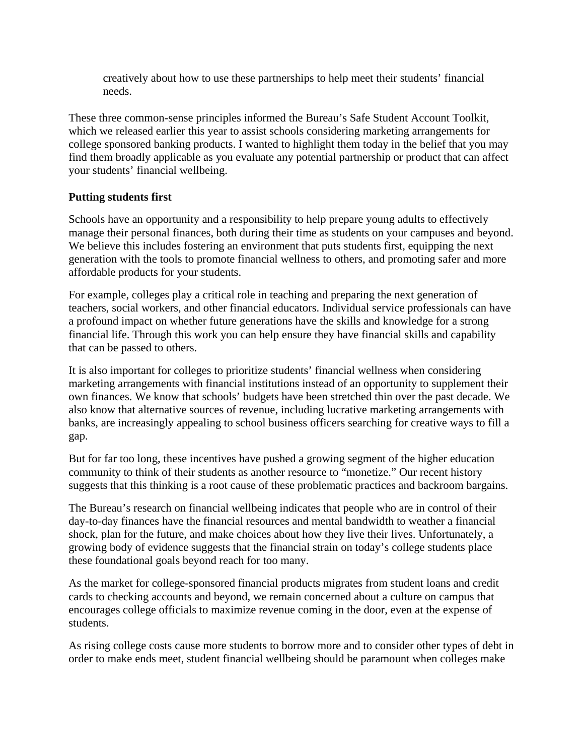creatively about how to use these partnerships to help meet their students' financial needs.

These three common-sense principles informed the Bureau's Safe Student Account Toolkit, which we released earlier this year to assist schools considering marketing arrangements for college sponsored banking products. I wanted to highlight them today in the belief that you may find them broadly applicable as you evaluate any potential partnership or product that can affect your students' financial wellbeing.

# **Putting students first**

Schools have an opportunity and a responsibility to help prepare young adults to effectively manage their personal finances, both during their time as students on your campuses and beyond. We believe this includes fostering an environment that puts students first, equipping the next generation with the tools to promote financial wellness to others, and promoting safer and more affordable products for your students.

For example, colleges play a critical role in teaching and preparing the next generation of teachers, social workers, and other financial educators. Individual service professionals can have a profound impact on whether future generations have the skills and knowledge for a strong financial life. Through this work you can help ensure they have financial skills and capability that can be passed to others.

It is also important for colleges to prioritize students' financial wellness when considering marketing arrangements with financial institutions instead of an opportunity to supplement their own finances. We know that schools' budgets have been stretched thin over the past decade. We also know that alternative sources of revenue, including lucrative marketing arrangements with banks, are increasingly appealing to school business officers searching for creative ways to fill a gap.

But for far too long, these incentives have pushed a growing segment of the higher education community to think of their students as another resource to "monetize." Our recent history suggests that this thinking is a root cause of these problematic practices and backroom bargains.

The Bureau's research on financial wellbeing indicates that people who are in control of their day-to-day finances have the financial resources and mental bandwidth to weather a financial shock, plan for the future, and make choices about how they live their lives. Unfortunately, a growing body of evidence suggests that the financial strain on today's college students place these foundational goals beyond reach for too many.

As the market for college-sponsored financial products migrates from student loans and credit cards to checking accounts and beyond, we remain concerned about a culture on campus that encourages college officials to maximize revenue coming in the door, even at the expense of students.

As rising college costs cause more students to borrow more and to consider other types of debt in order to make ends meet, student financial wellbeing should be paramount when colleges make